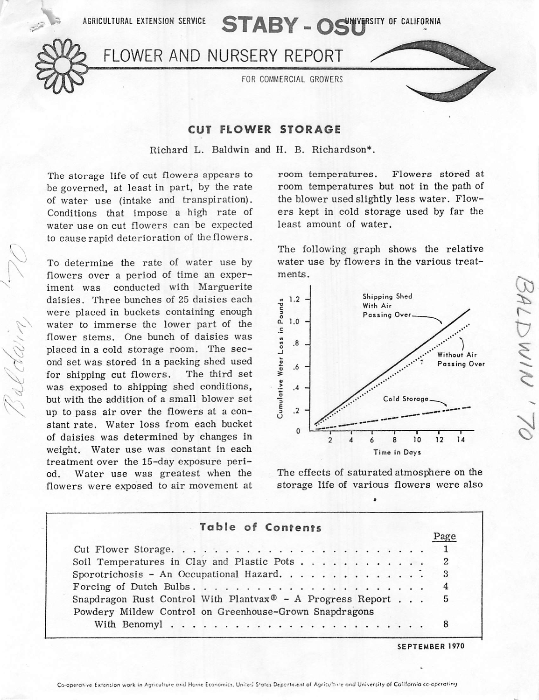AGRICULTURAL EXTENSION SERVICE **STABY** - OSTWERSITY OF CALIFORNIA



*^*

FLOWER AND NURSERY REPORT

FOR COMMERCIAL GROWERS

## *CUT FLOWER STORAGE*

Richard L. Baldwin and H. B. Richardson\*.

The storage life of cut flowers appears to be governed, at least in part, by the rate of water use (intake and transpiration). Conditions that impose a high rate of water use on cut flowers can be expected to cause rapid deterioration of the flowers.

To determine the rate of water use by flowers over a period of time an exper iment was conducted with Marguerite daisies. Three bunches of 25 daisies each were placed in buckets containing enough water to immerse the lower part of the flower stems. One bunch of daisies was placed in a cold storage room. The sec ond set was stored in a packing shed used for shipping cut flowers. The third set was exposed to shipping shed conditions, but with the addition of <sup>a</sup> small blower set up to pass air over the flowers at a con stant rate. Water loss from each bucket of daisies was determined by changes in weight. Water use was constant in each treatment over the 15-day exposure peri od. Water use was greatest when the flowers were exposed to air movement at

room temperatures. Flowers stored at room temperatures but not in the path of the blower used slightly less water. Flow ers kept in cold storage used by far the least amount of water.

The following graph shows the relative water use by flowers in the various treat ments.



The effects of saturated atmosphere on the storage life of various flowers were also

## *Table of Contents*

|                                                                                          |  | r agu |
|------------------------------------------------------------------------------------------|--|-------|
|                                                                                          |  |       |
| Soil Temperatures in Clay and Plastic Pots 2                                             |  |       |
| Sporotrichosis - An Occupational Hazard. 3                                               |  |       |
|                                                                                          |  |       |
| Snapdragon Rust Control With Plantvax <sup><math>\Phi</math></sup> - A Progress Report 5 |  |       |
| Powdery Mildew Control on Greenhouse-Grown Snapdragons                                   |  |       |
|                                                                                          |  |       |
|                                                                                          |  |       |

*SEPTEMBER 1970*

Page